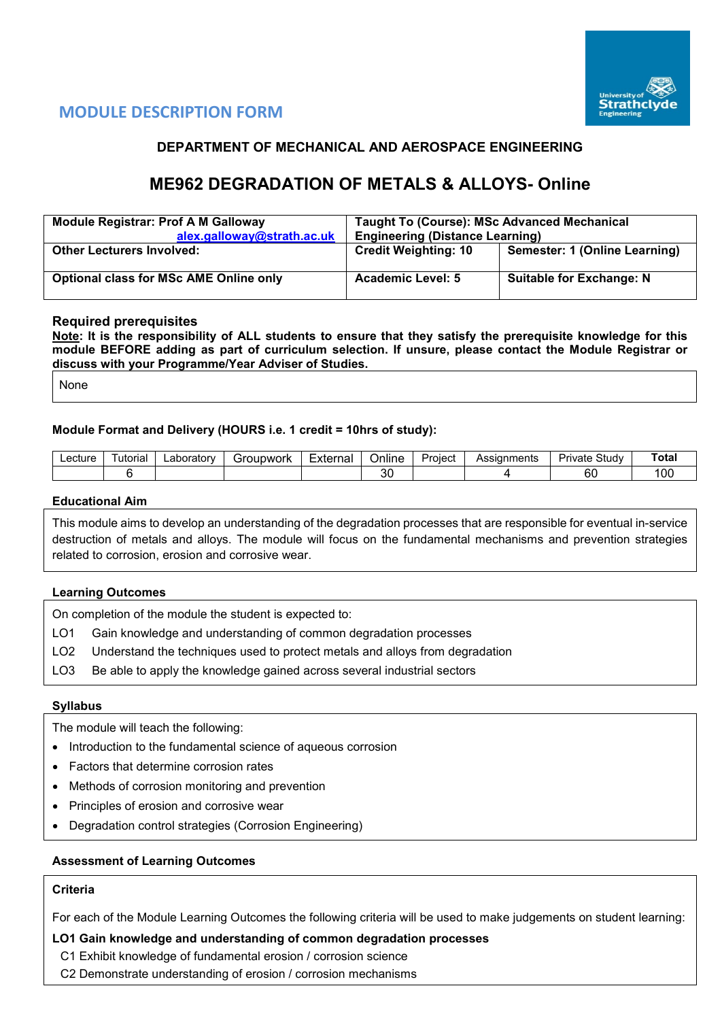

# **MODULE DESCRIPTION FORM**

# **DEPARTMENT OF MECHANICAL AND AEROSPACE ENGINEERING**

# **ME962 DEGRADATION OF METALS & ALLOYS- Online**

| <b>Module Registrar: Prof A M Galloway</b><br>alex.galloway@strath.ac.uk | <b>Taught To (Course): MSc Advanced Mechanical</b><br><b>Engineering (Distance Learning)</b> |                                 |  |  |  |  |
|--------------------------------------------------------------------------|----------------------------------------------------------------------------------------------|---------------------------------|--|--|--|--|
| <b>Other Lecturers Involved:</b>                                         | <b>Credit Weighting: 10</b>                                                                  | Semester: 1 (Online Learning)   |  |  |  |  |
| <b>Optional class for MSc AME Online only</b>                            | <b>Academic Level: 5</b>                                                                     | <b>Suitable for Exchange: N</b> |  |  |  |  |

# **Required prerequisites**

**Note: It is the responsibility of ALL students to ensure that they satisfy the prerequisite knowledge for this module BEFORE adding as part of curriculum selection. If unsure, please contact the Module Registrar or discuss with your Programme/Year Adviser of Studies.**

None

# **Module Format and Delivery (HOURS i.e. 1 credit = 10hrs of study):**

| ∟ecture | $\overline{\phantom{0}}$<br>∶utorial | ∟aboratorv | iroupwork | $\overline{\phantom{0}}$<br>External | Project<br><b>Jnline</b> |  | Assianments | Study<br>-<br>Private | ™otal |
|---------|--------------------------------------|------------|-----------|--------------------------------------|--------------------------|--|-------------|-----------------------|-------|
|         |                                      |            |           |                                      | 30                       |  |             | $\sim$<br>юu          | 00ا   |

#### **Educational Aim**

This module aims to develop an understanding of the degradation processes that are responsible for eventual in-service destruction of metals and alloys. The module will focus on the fundamental mechanisms and prevention strategies related to corrosion, erosion and corrosive wear.

#### **Learning Outcomes**

On completion of the module the student is expected to:

- LO1 Gain knowledge and understanding of common degradation processes
- LO2 Understand the techniques used to protect metals and alloys from degradation
- LO3 Be able to apply the knowledge gained across several industrial sectors

#### **Syllabus**

The module will teach the following:

- Introduction to the fundamental science of aqueous corrosion
- Factors that determine corrosion rates
- Methods of corrosion monitoring and prevention
- Principles of erosion and corrosive wear
- Degradation control strategies (Corrosion Engineering)

# **Assessment of Learning Outcomes**

#### **Criteria**

For each of the Module Learning Outcomes the following criteria will be used to make judgements on student learning:

### **LO1 Gain knowledge and understanding of common degradation processes**

- C1 Exhibit knowledge of fundamental erosion / corrosion science
- C2 Demonstrate understanding of erosion / corrosion mechanisms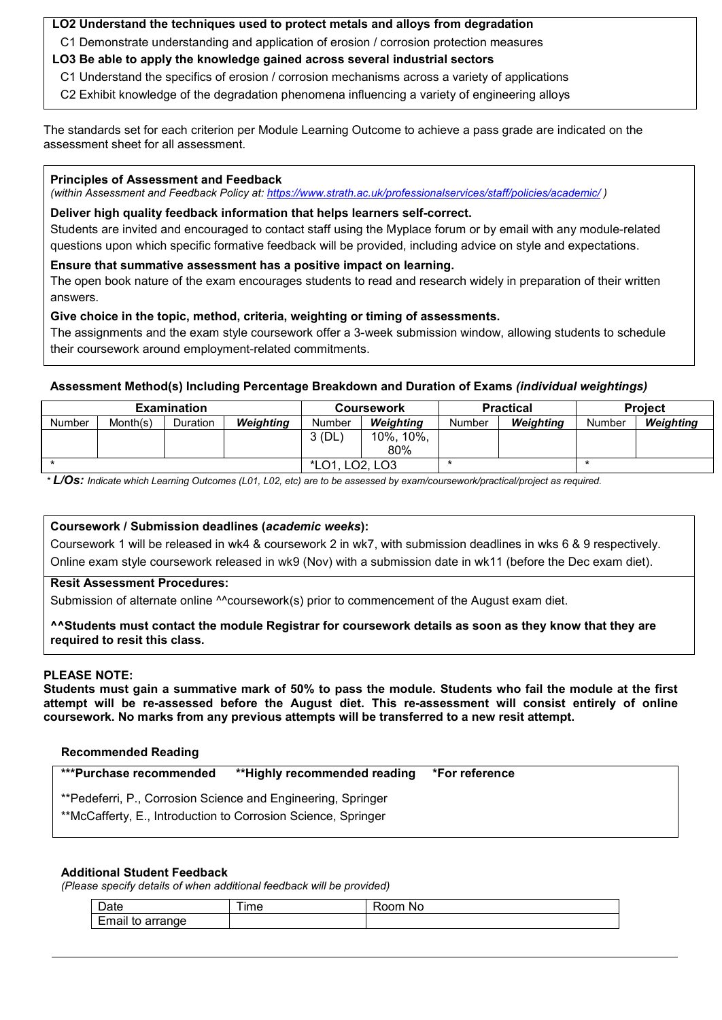# **LO2 Understand the techniques used to protect metals and alloys from degradation**

C1 Demonstrate understanding and application of erosion / corrosion protection measures

- **LO3 Be able to apply the knowledge gained across several industrial sectors**
	- C1 Understand the specifics of erosion / corrosion mechanisms across a variety of applications
	- C2 Exhibit knowledge of the degradation phenomena influencing a variety of engineering alloys

The standards set for each criterion per Module Learning Outcome to achieve a pass grade are indicated on the assessment sheet for all assessment.

#### **Principles of Assessment and Feedback**

*(within Assessment and Feedback Policy at:<https://www.strath.ac.uk/professionalservices/staff/policies/academic/> )*

### **Deliver high quality feedback information that helps learners self-correct.**

Students are invited and encouraged to contact staff using the Myplace forum or by email with any module-related questions upon which specific formative feedback will be provided, including advice on style and expectations.

#### **Ensure that summative assessment has a positive impact on learning.**

The open book nature of the exam encourages students to read and research widely in preparation of their written answers.

# **Give choice in the topic, method, criteria, weighting or timing of assessments.**

The assignments and the exam style coursework offer a 3-week submission window, allowing students to schedule their coursework around employment-related commitments.

### **Assessment Method(s) Including Percentage Breakdown and Duration of Exams** *(individual weightings)*

|               |          | <b>Examination</b> |           |                                            | <b>Coursework</b> |        | <b>Practical</b> | <b>Project</b> |           |  |
|---------------|----------|--------------------|-----------|--------------------------------------------|-------------------|--------|------------------|----------------|-----------|--|
| <b>Number</b> | Month(s) | Duration           | Weighting | Number                                     | Weiahtina         | Number | Weighting        | Number         | Weighting |  |
|               |          |                    |           | 3(DL)                                      | 10%.<br>10%.      |        |                  |                |           |  |
|               |          |                    |           |                                            | 80%               |        |                  |                |           |  |
|               |          |                    |           | LO <sub>2</sub> , LO <sub>3</sub><br>*LO1. |                   |        |                  |                |           |  |

*\* L/Os: Indicate which Learning Outcomes (L01, L02, etc) are to be assessed by exam/coursework/practical/project as required.*

# **Coursework / Submission deadlines (***academic weeks***):**

Coursework 1 will be released in wk4 & coursework 2 in wk7, with submission deadlines in wks 6 & 9 respectively. Online exam style coursework released in wk9 (Nov) with a submission date in wk11 (before the Dec exam diet).

#### **Resit Assessment Procedures:**

Submission of alternate online ^^coursework(s) prior to commencement of the August exam diet.

#### **^^Students must contact the module Registrar for coursework details as soon as they know that they are required to resit this class.**

#### **PLEASE NOTE:**

**Students must gain a summative mark of 50% to pass the module. Students who fail the module at the first attempt will be re-assessed before the August diet. This re-assessment will consist entirely of online coursework. No marks from any previous attempts will be transferred to a new resit attempt.**

#### **Recommended Reading**

| ***Purchase recommended                                                                                                       | **Highly recommended reading *For reference |  |
|-------------------------------------------------------------------------------------------------------------------------------|---------------------------------------------|--|
| **Pedeferri, P., Corrosion Science and Engineering, Springer<br>**McCafferty, E., Introduction to Corrosion Science, Springer |                                             |  |

#### **Additional Student Feedback**

*(Please specify details of when additional feedback will be provided)*

| -<br>`~+~<br><b>Date</b>            | --<br>ıme | ----<br>NG |
|-------------------------------------|-----------|------------|
| $\cdot$ .<br>Email<br>arrange<br>τc |           |            |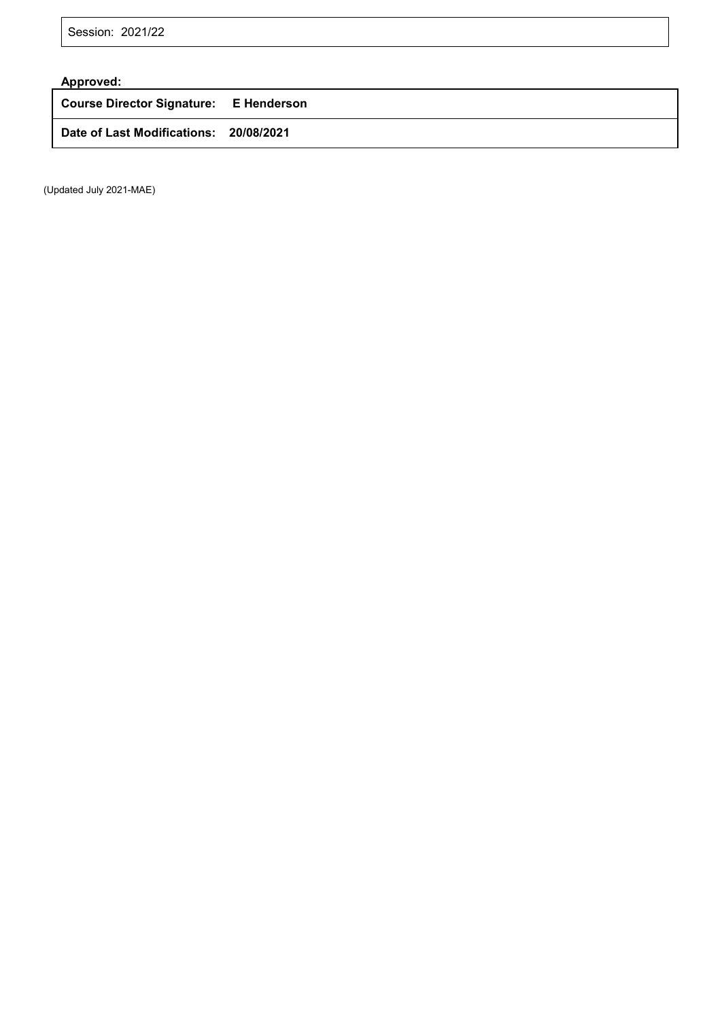Session: 2021/22

# **Approved:**

**Course Director Signature: E Henderson**

**Date of Last Modifications: 20/08/2021**

(Updated July 2021-MAE)